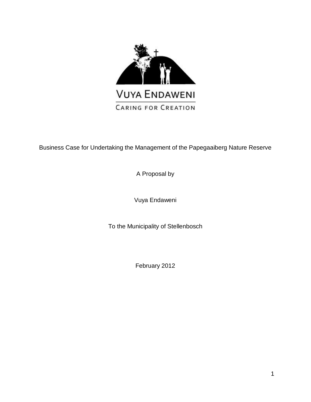

Business Case for Undertaking the Management of the Papegaaiberg Nature Reserve

A Proposal by

Vuya Endaweni

To the Municipality of Stellenbosch

February 2012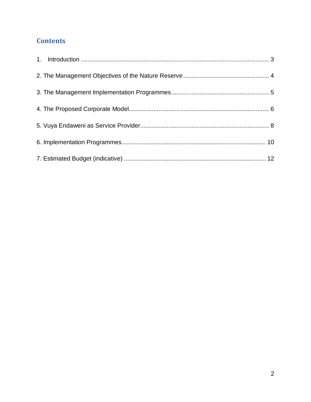## **Contents**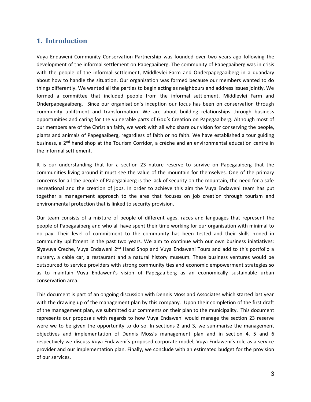#### <span id="page-2-0"></span>**1. Introduction**

Vuya Endaweni Community Conservation Partnership was founded over two years ago following the development of the informal settlement on Papegaaiberg. The community of Papegaaiberg was in crisis with the people of the informal settlement, Middlevlei Farm and Onderpapegaaiberg in a quandary about how to handle the situation. Our organisation was formed because our members wanted to do things differently. We wanted all the parties to begin acting as neighbours and address issues jointly. We formed a committee that included people from the informal settlement, Middlevlei Farm and Onderpapegaaiberg. Since our organisation's inception our focus has been on conservation through community upliftment and transformation. We are about building relationships through business opportunities and caring for the vulnerable parts of God's Creation on Papegaaiberg. Although most of our members are of the Christian faith, we work with all who share our vision for conserving the people, plants and animals of Papegaaiberg, regardless of faith or no faith. We have established a tour guiding business, a 2<sup>nd</sup> hand shop at the Tourism Corridor, a crèche and an environmental education centre in the informal settlement.

It is our understanding that for a section 23 nature reserve to survive on Papegaaiberg that the communities living around it must see the value of the mountain for themselves. One of the primary concerns for all the people of Papegaaiberg is the lack of security on the mountain, the need for a safe recreational and the creation of jobs. In order to achieve this aim the Vuya Endaweni team has put together a management approach to the area that focuses on job creation through tourism and environmental protection that is linked to security provision.

Our team consists of a mixture of people of different ages, races and languages that represent the people of Papegaaiberg and who all have spent their time working for our organisation with minimal to no pay. Their level of commitment to the community has been tested and their skills honed in community upliftment in the past two years. We aim to continue with our own business iniatiatives: Siyavuya Creche, Vuya Endaweni 2<sup>nd</sup> Hand Shop and Vuya Endaweni Tours and add to this portfolio a nursery, a cable car, a restaurant and a natural history museum. These business ventures would be outsourced to service providers with strong community ties and economic empowerment strategies so as to maintain Vuya Endaweni's vision of Papegaaiberg as an economically sustainable urban conservation area.

This document is part of an ongoing discussion with Dennis Moss and Associates which started last year with the drawing up of the management plan by this company. Upon their completion of the first draft of the management plan, we submitted our comments on their plan to the municipality. This document represents our proposals with regards to how Vuya Endaweni would manage the section 23 reserve were we to be given the opportunity to do so. In sections 2 and 3, we summarise the management objectives and implementation of Dennis Moss's management plan and in section 4, 5 and 6 respectively we discuss Vuya Endaweni's proposed corporate model, Vuya Endaweni's role as a service provider and our implementation plan. Finally, we conclude with an estimated budget for the provision of our services.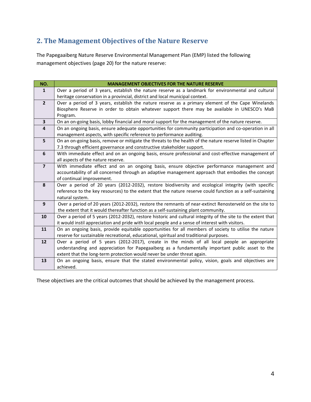### <span id="page-3-0"></span>**2. The Management Objectives of the Nature Reserve**

The Papegaaiberg Nature Reserve Environmental Management Plan (EMP) listed the following management objectives (page 20) for the nature reserve:

| NO.                     | <b>MANAGEMENT OBJECTIVES FOR THE NATURE RESERVE</b>                                                          |
|-------------------------|--------------------------------------------------------------------------------------------------------------|
| $\mathbf{1}$            | Over a period of 3 years, establish the nature reserve as a landmark for environmental and cultural          |
|                         | heritage conservation in a provincial, district and local municipal context.                                 |
| $\overline{2}$          | Over a period of 3 years, establish the nature reserve as a primary element of the Cape Winelands            |
|                         | Biosphere Reserve in order to obtain whatever support there may be available in UNESCO's MaB                 |
|                         | Program.                                                                                                     |
| $\overline{\mathbf{3}}$ | On an on-going basis, lobby financial and moral support for the management of the nature reserve.            |
| $\overline{\mathbf{a}}$ | On an ongoing basis, ensure adequate opportunities for community participation and co-operation in all       |
|                         | management aspects, with specific reference to performance auditing.                                         |
| 5                       | On an on-going basis, remove or mitigate the threats to the health of the nature reserve listed in Chapter   |
|                         | 7.3 through efficient governance and constructive stakeholder support.                                       |
| 6                       | With immediate effect and on an ongoing basis, ensure professional and cost-effective management of          |
|                         | all aspects of the nature reserve.                                                                           |
| $\overline{7}$          | With immediate effect and on an ongoing basis, ensure objective performance management and                   |
|                         | accountability of all concerned through an adaptive management approach that embodies the concept            |
|                         | of continual improvement.                                                                                    |
| 8                       | Over a period of 20 years (2012-2032), restore biodiversity and ecological integrity (with specific          |
|                         | reference to the key resources) to the extent that the nature reserve could function as a self-sustaining    |
|                         | natural system.                                                                                              |
| 9                       | Over a period of 20 years (2012-2032), restore the remnants of near-extinct Renosterveld on the site to      |
|                         | the extent that it would thereafter function as a self-sustaining plant community.                           |
| 10                      | Over a period of 5 years (2012-2032), restore historic and cultural integrity of the site to the extent that |
|                         | it would instil appreciation and pride with local people and a sense of interest with visitors.              |
| 11                      | On an ongoing basis, provide equitable opportunities for all members of society to utilise the nature        |
|                         | reserve for sustainable recreational, educational, spiritual and traditional purposes.                       |
| 12                      | Over a period of 5 years (2012-2017), create in the minds of all local people an appropriate                 |
|                         | understanding and appreciation for Papegaaiberg as a fundamentally important public asset to the             |
|                         | extent that the long-term protection would never be under threat again.                                      |
| 13                      | On an ongoing basis, ensure that the stated environmental policy, vision, goals and objectives are           |
|                         | achieved.                                                                                                    |

These objectives are the critical outcomes that should be achieved by the management process.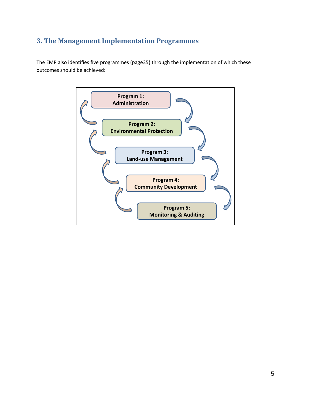#### <span id="page-4-0"></span>**3. The Management Implementation Programmes**

The EMP also identifies five programmes (page35) through the implementation of which these outcomes should be achieved:

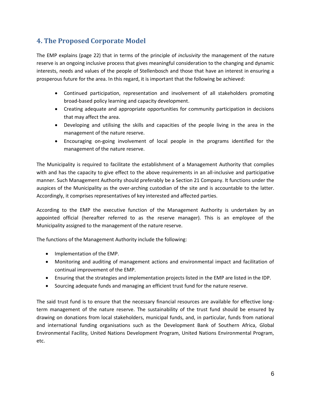### <span id="page-5-0"></span>**4. The Proposed Corporate Model**

The EMP explains (page 22) that in terms of the principle of *inclusivity* the management of the nature reserve is an ongoing inclusive process that gives meaningful consideration to the changing and dynamic interests, needs and values of the people of Stellenbosch and those that have an interest in ensuring a prosperous future for the area. In this regard, it is important that the following be achieved:

- Continued participation, representation and involvement of all stakeholders promoting broad-based policy learning and capacity development.
- Creating adequate and appropriate opportunities for community participation in decisions that may affect the area.
- Developing and utilising the skills and capacities of the people living in the area in the management of the nature reserve.
- Encouraging on-going involvement of local people in the programs identified for the management of the nature reserve.

The Municipality is required to facilitate the establishment of a Management Authority that complies with and has the capacity to give effect to the above requirements in an all-inclusive and participative manner. Such Management Authority should preferably be a Section 21 Company. It functions under the auspices of the Municipality as the over-arching custodian of the site and is accountable to the latter. Accordingly, it comprises representatives of key interested and affected parties.

According to the EMP the executive function of the Management Authority is undertaken by an appointed official (hereafter referred to as the reserve manager). This is an employee of the Municipality assigned to the management of the nature reserve.

The functions of the Management Authority include the following:

- Implementation of the EMP.
- Monitoring and auditing of management actions and environmental impact and facilitation of continual improvement of the EMP.
- Ensuring that the strategies and implementation projects listed in the EMP are listed in the IDP.
- Sourcing adequate funds and managing an efficient trust fund for the nature reserve.

The said trust fund is to ensure that the necessary financial resources are available for effective longterm management of the nature reserve. The sustainability of the trust fund should be ensured by drawing on donations from local stakeholders, municipal funds, and, in particular, funds from national and international funding organisations such as the Development Bank of Southern Africa, Global Environmental Facility, United Nations Development Program, United Nations Environmental Program, etc.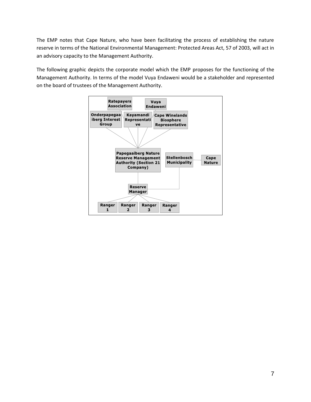The EMP notes that Cape Nature, who have been facilitating the process of establishing the nature reserve in terms of the National Environmental Management: Protected Areas Act, 57 of 2003, will act in an advisory capacity to the Management Authority.

The following graphic depicts the corporate model which the EMP proposes for the functioning of the Management Authority. In terms of the model Vuya Endaweni would be a stakeholder and represented on the board of trustees of the Management Authority.

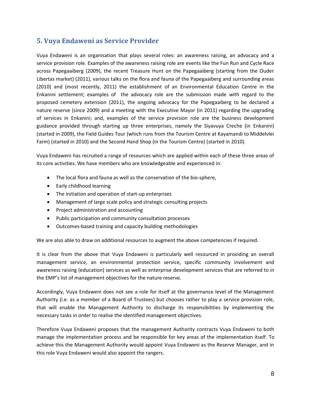#### <span id="page-7-0"></span>**5. Vuya Endaweni as Service Provider**

Vuya Endaweni is an organisation that plays several roles: an awareness raising, an advocacy and a service provision role. Examples of the awareness raising role are events like the Fun Run and Cycle Race across Papegaaiberg (2009), the recent Treasure Hunt on the Papegaaiberg (starting from the Ouder Libertas market) (2011), various talks on the flora and fauna of the Papegaaiberg and surrounding areas (2010) and (most recently, 2011) the establishment of an Environmental Education Centre in the Enkanini settlement; examples of the advocacy role are the submission made with regard to the proposed cemetery extension (2011), the ongoing advocacy for the Papegaaiberg to be declared a nature reserve (since 2009) and a meeting with the Executive Mayor (in 2011) regarding the upgrading of services in Enkanini; and, examples of the service provision role are the business development guidance provided through starting up three enterprises, namely the Siyavuya Creche (in Enkanini) (started in 2009), the Field Guides Tour (which runs from the Tourism Centre at Kayamandi to Middelvlei Farm) (started in 2010) and the Second Hand Shop (in the Tourism Centre) (started in 2010).

Vuya Endaweni has recruited a range of resources which are applied within each of these three areas of its core activities. We have members who are knowledgeable and experienced in:

- The local flora and fauna as well as the conservation of the bio-sphere,
- Early childhood learning
- The initiation and operation of start-up enterprises
- Management of large scale policy and strategic consulting projects
- Project administration and accounting
- Public participation and community consultation processes
- Outcomes-based training and capacity building methodologies

We are also able to draw on additional resources to augment the above competencies if required.

It is clear from the above that Vuya Endaweni is particularly well resourced in providing an overall management service, an environmental protection service, specific community involvement and awareness raising (education) services as well as enterprise development services that are referred to in the EMP's list of management objectives for the nature reserve.

Accordingly, Vuya Endaweni does not see a role for itself at the governance level of the Management Authority (i.e. as a member of a Board of Trustees) but chooses rather to play a service provision role, that will enable the Management Authority to discharge its responsibilities by implementing the necessary tasks in order to realise the identified management objectives.

Therefore Vuya Endaweni proposes that the management Authority contracts Vuya Endaweni to both manage the implementation process and be responsible for key areas of the implementation itself. To achieve this the Management Authority would appoint Vuya Endaweni as the Reserve Manager, and in this role Vuya Endaweni would also appoint the rangers.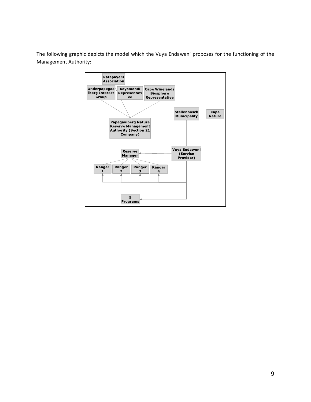The following graphic depicts the model which the Vuya Endaweni proposes for the functioning of the Management Authority:

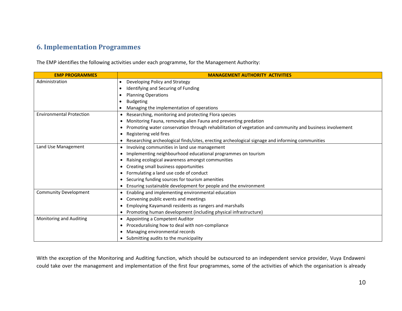## **6. Implementation Programmes**

The EMP identifies the following activities under each programme, for the Management Authority:

<span id="page-9-0"></span>

| <b>EMP PROGRAMMES</b>           | <b>MANAGEMENT AUTHORITY ACTIVITIES</b>                                                                   |
|---------------------------------|----------------------------------------------------------------------------------------------------------|
| Administration                  | Developing Policy and Strategy<br>$\bullet$                                                              |
|                                 | Identifying and Securing of Funding                                                                      |
|                                 | <b>Planning Operations</b>                                                                               |
|                                 | <b>Budgeting</b><br>٠                                                                                    |
|                                 | Managing the implementation of operations<br>٠                                                           |
| <b>Environmental Protection</b> | Researching, monitoring and protecting Flora species                                                     |
|                                 | Monitoring Fauna, removing alien Fauna and preventing predation                                          |
|                                 | Promoting water conservation through rehabilitation of vegetation and community and business involvement |
|                                 | Registering veld fires                                                                                   |
|                                 | Researching archeological finds/sites, erecting archeological signage and informing communities          |
| Land Use Management             | Involving communities in land use management<br>$\bullet$                                                |
|                                 | Implementing neighbourhood educational programmes on tourism<br>٠                                        |
|                                 | Raising ecological awareness amongst communities                                                         |
|                                 | Creating small business opportunities                                                                    |
|                                 | Formulating a land use code of conduct                                                                   |
|                                 | Securing funding sources for tourism amenities                                                           |
|                                 | Ensuring sustainable development for people and the environment                                          |
| <b>Community Development</b>    | Enabling and implementing environmental education                                                        |
|                                 | Convening public events and meetings                                                                     |
|                                 | Employing Kayamandi residents as rangers and marshalls                                                   |
|                                 | Promoting human development (including physical infrastructure)                                          |
| Monitoring and Auditing         | Appointing a Competent Auditor<br>$\bullet$                                                              |
|                                 | Proceduralising how to deal with non-compliance                                                          |
|                                 | Managing environmental records                                                                           |
|                                 | Submitting audits to the municipality                                                                    |

With the exception of the Monitoring and Auditing function, which should be outsourced to an independent service provider, Vuya Endaweni could take over the management and implementation of the first four programmes, some of the activities of which the organisation is already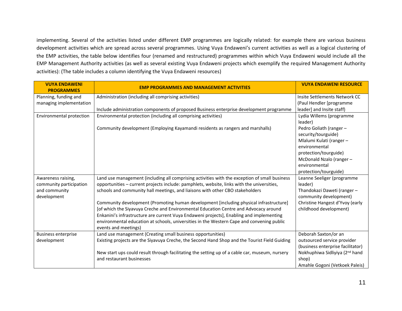implementing. Several of the activities listed under different EMP programmes are logically related: for example there are various business development activities which are spread across several programmes. Using Vuya Endaweni's current activities as well as a logical clustering of the EMP activities, the table below identifies four (renamed and restructured) programmes within which Vuya Endaweni would include all the EMP Management Authority activities (as well as several existing Vuya Endaweni projects which exemplify the required Management Authority activities): (The table includes a column identifying the Vuya Endaweni resources)

| <b>VUYA ENDAWENI</b><br><b>PROGRAMMES</b> | <b>EMP PROGRAMMES AND MANAGEMENT ACTIVITIES</b>                                                                   | <b>VUYA ENDAWENI RESOURCE</b>     |
|-------------------------------------------|-------------------------------------------------------------------------------------------------------------------|-----------------------------------|
| Planning, funding and                     | Administration (including all comprising activities)                                                              | Insite Settlements Network CC     |
| managing implementation                   |                                                                                                                   | (Paul Hendler [programme          |
|                                           | Include administration components of proposed Business enterprise development programme                           | leader] and Insite staff)         |
| Environmental protection                  | Environmental protection (including all comprising activities)                                                    | Lydia Willems (programme          |
|                                           |                                                                                                                   | leader)                           |
|                                           | Community development (Employing Kayamandi residents as rangers and marshalls)                                    | Pedro Goliath (ranger -           |
|                                           |                                                                                                                   | security/tourguide)               |
|                                           |                                                                                                                   | Mlalumi Kulati (ranger -          |
|                                           |                                                                                                                   | environmental                     |
|                                           |                                                                                                                   | protection/tourguide)             |
|                                           |                                                                                                                   | McDonald Nzalo (ranger -          |
|                                           |                                                                                                                   | environmental                     |
|                                           |                                                                                                                   | protection/tourguide)             |
| Awareness raising,                        | Land use management (including all comprising activities with the exception of small business                     | Leanne Seeliger (programme        |
| community participation                   | opportunities - current projects include: pamphlets, website, links with the universities,                        | leader)                           |
| and community                             | schools and community hall meetings, and liaisons with other CBO stakeholders                                     | Thandokazi Daweti (ranger -       |
| development                               |                                                                                                                   | community development)            |
|                                           | Community development (Promoting human development [including physical infrastructure]                            | Christine Hangest d'Yvoy (early   |
|                                           | [of which the Siyavuya Creche and Environmental Education Centre and Advocacy around                              | childhood development)            |
|                                           | Enkanini's infrastructure are current Vuya Endaweni projects], Enabling and implementing                          |                                   |
|                                           | environmental education at schools, universities in the Western Cape and convening public<br>events and meetings) |                                   |
| <b>Business enterprise</b>                | Land use management (Creating small business opportunities)                                                       | Deborah Saxton/or an              |
| development                               | Existing projects are the Siyavuya Creche, the Second Hand Shop and the Tourist Field Guiding                     | outsourced service provider       |
|                                           |                                                                                                                   | (business enterprise facilitator) |
|                                           | New start ups could result through facilitating the setting up of a cable car, museum, nursery                    | Nokhuphiwa Sidliyiya (2nd hand    |
|                                           | and restaurant businesses                                                                                         | shop)                             |
|                                           |                                                                                                                   | Amahle Gogoni (Vetkoek Paleis)    |